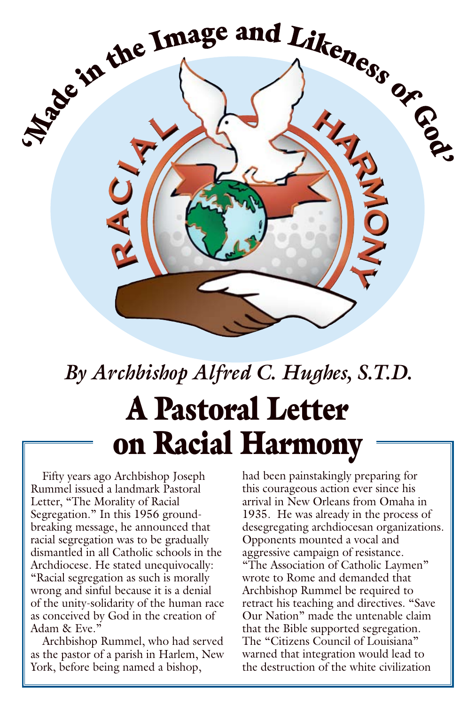

# *By Archbishop Alfred C. Hughes, S.T.D.* A Pastoral Letter on Racial Harmony

Fifty years ago Archbishop Joseph Rummel issued a landmark Pastoral Letter, "The Morality of Racial Segregation." In this 1956 groundbreaking message, he announced that racial segregation was to be gradually dismantled in all Catholic schools in the Archdiocese. He stated unequivocally: "Racial segregation as such is morally wrong and sinful because it is a denial of the unity-solidarity of the human race as conceived by God in the creation of Adam & Eve."

Archbishop Rummel, who had served as the pastor of a parish in Harlem, New York, before being named a bishop,

had been painstakingly preparing for this courageous action ever since his arrival in New Orleans from Omaha in 1935. He was already in the process of desegregating archdiocesan organizations. Opponents mounted a vocal and aggressive campaign of resistance. "The Association of Catholic Laymen" wrote to Rome and demanded that Archbishop Rummel be required to retract his teaching and directives. "Save Our Nation" made the untenable claim that the Bible supported segregation. The "Citizens Council of Louisiana" warned that integration would lead to the destruction of the white civilization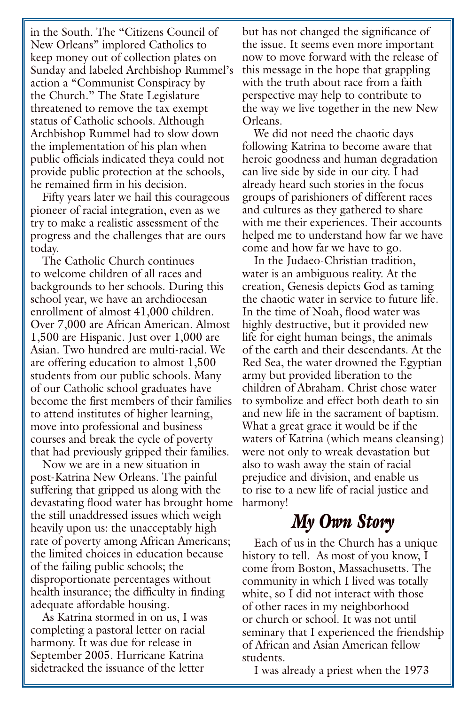in the South. The "Citizens Council of New Orleans" implored Catholics to keep money out of collection plates on Sunday and labeled Archbishop Rummel's action a "Communist Conspiracy by the Church." The State Legislature threatened to remove the tax exempt status of Catholic schools. Although Archbishop Rummel had to slow down the implementation of his plan when public officials indicated theya could not provide public protection at the schools, he remained firm in his decision.

Fifty years later we hail this courageous pioneer of racial integration, even as we try to make a realistic assessment of the progress and the challenges that are ours today.

The Catholic Church continues to welcome children of all races and backgrounds to her schools. During this school year, we have an archdiocesan enrollment of almost 41,000 children. Over 7,000 are African American. Almost 1,500 are Hispanic. Just over 1,000 are Asian. Two hundred are multi-racial. We are offering education to almost 1,500 students from our public schools. Many of our Catholic school graduates have become the first members of their families to attend institutes of higher learning, move into professional and business courses and break the cycle of poverty that had previously gripped their families.

Now we are in a new situation in post-Katrina New Orleans. The painful suffering that gripped us along with the devastating flood water has brought home the still unaddressed issues which weigh heavily upon us: the unacceptably high rate of poverty among African Americans; the limited choices in education because of the failing public schools; the disproportionate percentages without health insurance; the difficulty in finding adequate affordable housing.

As Katrina stormed in on us, I was completing a pastoral letter on racial harmony. It was due for release in September 2005. Hurricane Katrina sidetracked the issuance of the letter

but has not changed the significance of the issue. It seems even more important now to move forward with the release of this message in the hope that grappling with the truth about race from a faith perspective may help to contribute to the way we live together in the new New Orleans.

We did not need the chaotic days following Katrina to become aware that heroic goodness and human degradation can live side by side in our city. I had already heard such stories in the focus groups of parishioners of different races and cultures as they gathered to share with me their experiences. Their accounts helped me to understand how far we have come and how far we have to go.

In the Judaeo-Christian tradition, water is an ambiguous reality. At the creation, Genesis depicts God as taming the chaotic water in service to future life. In the time of Noah, flood water was highly destructive, but it provided new life for eight human beings, the animals of the earth and their descendants. At the Red Sea, the water drowned the Egyptian army but provided liberation to the children of Abraham. Christ chose water to symbolize and effect both death to sin and new life in the sacrament of baptism. What a great grace it would be if the waters of Katrina (which means cleansing) were not only to wreak devastation but also to wash away the stain of racial prejudice and division, and enable us to rise to a new life of racial justice and harmony!

#### *My Own Story*

Each of us in the Church has a unique history to tell. As most of you know, I come from Boston, Massachusetts. The community in which I lived was totally white, so I did not interact with those of other races in my neighborhood or church or school. It was not until seminary that I experienced the friendship of African and Asian American fellow students.

I was already a priest when the 1973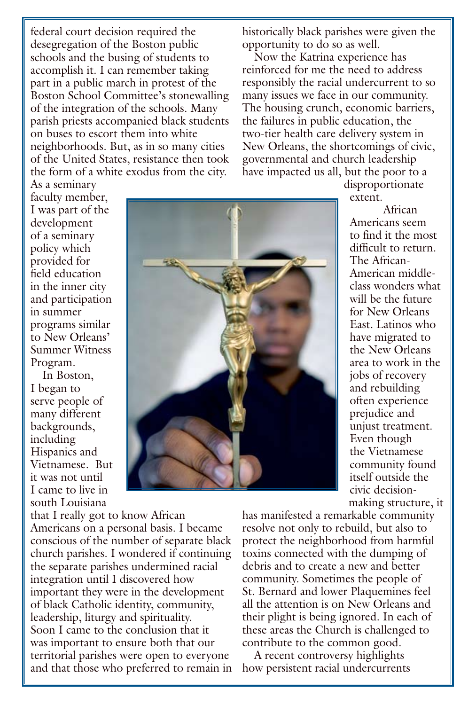federal court decision required the desegregation of the Boston public schools and the busing of students to accomplish it. I can remember taking part in a public march in protest of the Boston School Committee's stonewalling of the integration of the schools. Many parish priests accompanied black students on buses to escort them into white neighborhoods. But, as in so many cities of the United States, resistance then took the form of a white exodus from the city.

historically black parishes were given the opportunity to do so as well.

Now the Katrina experience has reinforced for me the need to address responsibly the racial undercurrent to so many issues we face in our community. The housing crunch, economic barriers, the failures in public education, the two-tier health care delivery system in New Orleans, the shortcomings of civic, governmental and church leadership have impacted us all, but the poor to a

> disproportionate extent.

African Americans seem to find it the most difficult to return. The African-American middleclass wonders what will be the future for New Orleans East. Latinos who have migrated to the New Orleans area to work in the jobs of recovery and rebuilding often experience prejudice and unjust treatment. Even though the Vietnamese community found itself outside the civic decisionmaking structure, it

As a seminary faculty member, I was part of the development of a seminary policy which provided for field education in the inner city and participation in summer programs similar to New Orleans' Summer Witness Program.

In Boston, I began to serve people of many different backgrounds, including Hispanics and Vietnamese. But it was not until I came to live in south Louisiana

that I really got to know African Americans on a personal basis. I became conscious of the number of separate black church parishes. I wondered if continuing the separate parishes undermined racial integration until I discovered how important they were in the development of black Catholic identity, community, leadership, liturgy and spirituality. Soon I came to the conclusion that it was important to ensure both that our territorial parishes were open to everyone and that those who preferred to remain in

has manifested a remarkable community resolve not only to rebuild, but also to protect the neighborhood from harmful toxins connected with the dumping of debris and to create a new and better community. Sometimes the people of St. Bernard and lower Plaquemines feel all the attention is on New Orleans and their plight is being ignored. In each of these areas the Church is challenged to contribute to the common good.

A recent controversy highlights how persistent racial undercurrents

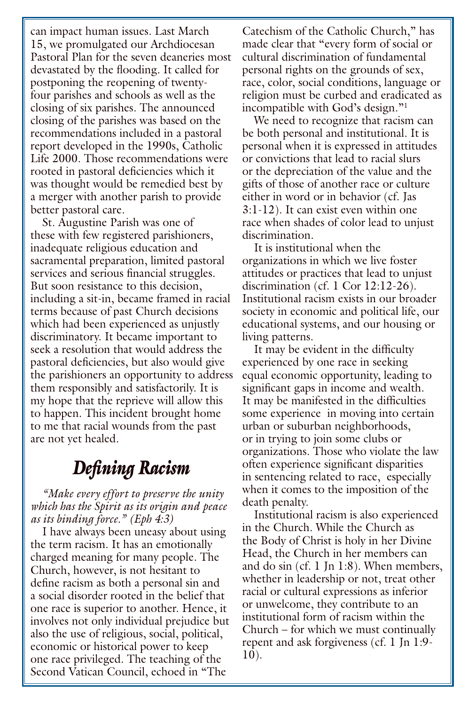can impact human issues. Last March 15, we promulgated our Archdiocesan Pastoral Plan for the seven deaneries most devastated by the flooding. It called for postponing the reopening of twentyfour parishes and schools as well as the closing of six parishes. The announced closing of the parishes was based on the recommendations included in a pastoral report developed in the 1990s, Catholic Life 2000. Those recommendations were rooted in pastoral deficiencies which it was thought would be remedied best by a merger with another parish to provide better pastoral care.

St. Augustine Parish was one of these with few registered parishioners, inadequate religious education and sacramental preparation, limited pastoral services and serious financial struggles. But soon resistance to this decision, including a sit-in, became framed in racial terms because of past Church decisions which had been experienced as unjustly discriminatory. It became important to seek a resolution that would address the pastoral deficiencies, but also would give the parishioners an opportunity to address them responsibly and satisfactorily. It is my hope that the reprieve will allow this to happen. This incident brought home to me that racial wounds from the past are not yet healed.

#### *Defining Racism*

*"Make every effort to preserve the unity which has the Spirit as its origin and peace as its binding force." (Eph 4:3)*

I have always been uneasy about using the term racism. It has an emotionally charged meaning for many people. The Church, however, is not hesitant to define racism as both a personal sin and a social disorder rooted in the belief that one race is superior to another. Hence, it involves not only individual prejudice but also the use of religious, social, political, economic or historical power to keep one race privileged. The teaching of the Second Vatican Council, echoed in "The

Catechism of the Catholic Church," has made clear that "every form of social or cultural discrimination of fundamental personal rights on the grounds of sex, race, color, social conditions, language or religion must be curbed and eradicated as incompatible with God's design."1

We need to recognize that racism can be both personal and institutional. It is personal when it is expressed in attitudes or convictions that lead to racial slurs or the depreciation of the value and the gifts of those of another race or culture either in word or in behavior (cf. Jas 3:1-12). It can exist even within one race when shades of color lead to unjust discrimination.

It is institutional when the organizations in which we live foster attitudes or practices that lead to unjust discrimination (cf. 1 Cor 12:12-26). Institutional racism exists in our broader society in economic and political life, our educational systems, and our housing or living patterns.

It may be evident in the difficulty experienced by one race in seeking equal economic opportunity, leading to significant gaps in income and wealth. It may be manifested in the difficulties some experience in moving into certain urban or suburban neighborhoods, or in trying to join some clubs or organizations. Those who violate the law often experience significant disparities in sentencing related to race, especially when it comes to the imposition of the death penalty.

Institutional racism is also experienced in the Church. While the Church as the Body of Christ is holy in her Divine Head, the Church in her members can and do sin (cf. 1 Jn 1:8). When members, whether in leadership or not, treat other racial or cultural expressions as inferior or unwelcome, they contribute to an institutional form of racism within the Church – for which we must continually repent and ask forgiveness (cf. 1 Jn 1:9- 10).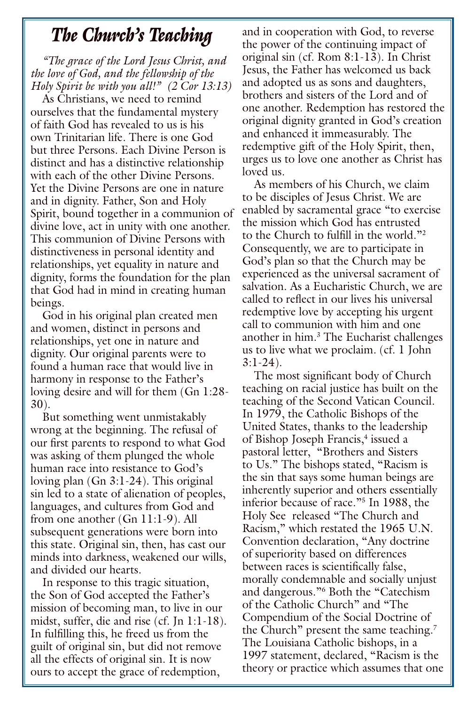#### *The Church's Teaching*

*"The grace of the Lord Jesus Christ, and the love of God, and the fellowship of the Holy Spirit be with you all!" (2 Cor 13:13)*

As Christians, we need to remind ourselves that the fundamental mystery of faith God has revealed to us is his own Trinitarian life. There is one God but three Persons. Each Divine Person is distinct and has a distinctive relationship with each of the other Divine Persons. Yet the Divine Persons are one in nature and in dignity. Father, Son and Holy Spirit, bound together in a communion of divine love, act in unity with one another. This communion of Divine Persons with distinctiveness in personal identity and relationships, yet equality in nature and dignity, forms the foundation for the plan that God had in mind in creating human beings.

God in his original plan created men and women, distinct in persons and relationships, yet one in nature and dignity. Our original parents were to found a human race that would live in harmony in response to the Father's loving desire and will for them (Gn 1:28- 30).

But something went unmistakably wrong at the beginning. The refusal of our first parents to respond to what God was asking of them plunged the whole human race into resistance to God's loving plan (Gn 3:1-24). This original sin led to a state of alienation of peoples, languages, and cultures from God and from one another (Gn 11:1-9). All subsequent generations were born into this state. Original sin, then, has cast our minds into darkness, weakened our wills, and divided our hearts.

In response to this tragic situation, the Son of God accepted the Father's mission of becoming man, to live in our midst, suffer, die and rise (cf. Jn 1:1-18). In fulfilling this, he freed us from the guilt of original sin, but did not remove all the effects of original sin. It is now ours to accept the grace of redemption,

and in cooperation with God, to reverse the power of the continuing impact of original sin (cf. Rom 8:1-13). In Christ Jesus, the Father has welcomed us back and adopted us as sons and daughters, brothers and sisters of the Lord and of one another. Redemption has restored the original dignity granted in God's creation and enhanced it immeasurably. The redemptive gift of the Holy Spirit, then, urges us to love one another as Christ has loved us.

As members of his Church, we claim to be disciples of Jesus Christ. We are enabled by sacramental grace "to exercise the mission which God has entrusted to the Church to fulfill in the world."2 Consequently, we are to participate in God's plan so that the Church may be experienced as the universal sacrament of salvation. As a Eucharistic Church, we are called to reflect in our lives his universal redemptive love by accepting his urgent call to communion with him and one another in him.3 The Eucharist challenges us to live what we proclaim. (cf. 1 John 3:1-24).

The most significant body of Church teaching on racial justice has built on the teaching of the Second Vatican Council. In 1979, the Catholic Bishops of the United States, thanks to the leadership of Bishop Joseph Francis,<sup>4</sup> issued a pastoral letter, "Brothers and Sisters to Us." The bishops stated, "Racism is the sin that says some human beings are inherently superior and others essentially inferior because of race."5 In 1988, the Holy See released "The Church and Racism," which restated the 1965 U.N. Convention declaration, "Any doctrine of superiority based on differences between races is scientifically false, morally condemnable and socially unjust and dangerous."6 Both the "Catechism of the Catholic Church" and "The Compendium of the Social Doctrine of the Church" present the same teaching.<sup>7</sup> The Louisiana Catholic bishops, in a 1997 statement, declared, "Racism is the theory or practice which assumes that one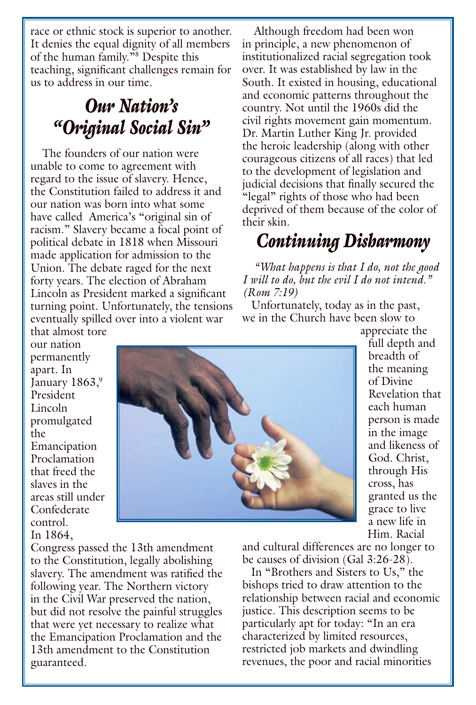race or ethnic stock is superior to another. It denies the equal dignity of all members of the human family."8 Despite this teaching, significant challenges remain for us to address in our time.

# *Our Nation's "Original Social Sin"*

The founders of our nation were unable to come to agreement with regard to the issue of slavery. Hence, the Constitution failed to address it and our nation was born into what some have called America's "original sin of racism." Slavery became a focal point of political debate in 1818 when Missouri made application for admission to the Union. The debate raged for the next forty years. The election of Abraham Lincoln as President marked a significant turning point. Unfortunately, the tensions eventually spilled over into a violent war

that almost tore our nation permanently apart. In January 1863,9 President Lincoln promulgated the Emancipation Proclamation that freed the slaves in the areas still under Confederate control. In 1864,

Congress passed the 13th amendment to the Constitution, legally abolishing slavery. The amendment was ratified the following year. The Northern victory in the Civil War preserved the nation, but did not resolve the painful struggles that were yet necessary to realize what the Emancipation Proclamation and the 13th amendment to the Constitution guaranteed.

Although freedom had been won in principle, a new phenomenon of institutionalized racial segregation took over. It was established by law in the South. It existed in housing, educational and economic patterns throughout the country. Not until the 1960s did the civil rights movement gain momentum. Dr. Martin Luther King Jr. provided the heroic leadership (along with other courageous citizens of all races) that led to the development of legislation and judicial decisions that finally secured the "legal" rights of those who had been deprived of them because of the color of their skin.

## *Continuing Disharmony*

*"What happens is that I do, not the good I will to do, but the evil I do not intend." (Rom 7:19)*

Unfortunately, today as in the past, we in the Church have been slow to



appreciate the full depth and breadth of the meaning of Divine Revelation that each human person is made in the image and likeness of God. Christ, through His cross, has granted us the grace to live a new life in Him. Racial

and cultural differences are no longer to be causes of division (Gal 3:26-28).

In "Brothers and Sisters to Us," the bishops tried to draw attention to the relationship between racial and economic justice. This description seems to be particularly apt for today: "In an era characterized by limited resources, restricted job markets and dwindling revenues, the poor and racial minorities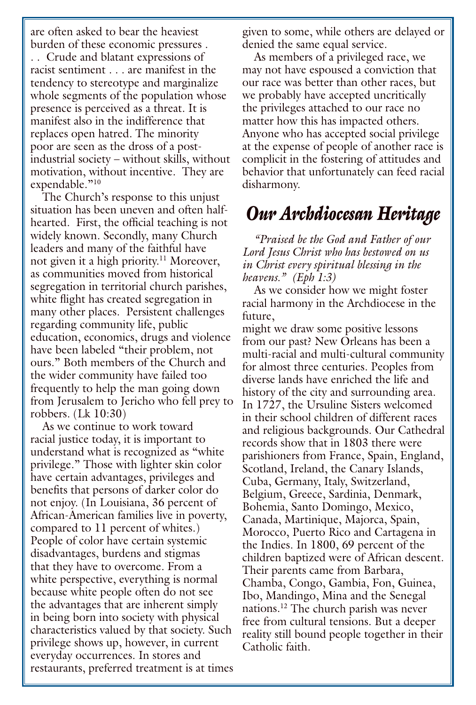are often asked to bear the heaviest burden of these economic pressures . . . Crude and blatant expressions of racist sentiment . . . are manifest in the tendency to stereotype and marginalize whole segments of the population whose presence is perceived as a threat. It is manifest also in the indifference that replaces open hatred. The minority poor are seen as the dross of a postindustrial society – without skills, without motivation, without incentive. They are expendable."<sup>10</sup>

The Church's response to this unjust situation has been uneven and often halfhearted. First, the official teaching is not widely known. Secondly, many Church leaders and many of the faithful have not given it a high priority.<sup>11</sup> Moreover, as communities moved from historical segregation in territorial church parishes, white flight has created segregation in many other places. Persistent challenges regarding community life, public education, economics, drugs and violence have been labeled "their problem, not ours." Both members of the Church and the wider community have failed too frequently to help the man going down from Jerusalem to Jericho who fell prey to robbers. (Lk 10:30)

As we continue to work toward racial justice today, it is important to understand what is recognized as "white privilege." Those with lighter skin color have certain advantages, privileges and benefits that persons of darker color do not enjoy. (In Louisiana, 36 percent of African-American families live in poverty, compared to 11 percent of whites.) People of color have certain systemic disadvantages, burdens and stigmas that they have to overcome. From a white perspective, everything is normal because white people often do not see the advantages that are inherent simply in being born into society with physical characteristics valued by that society. Such privilege shows up, however, in current everyday occurrences. In stores and restaurants, preferred treatment is at times given to some, while others are delayed or denied the same equal service.

As members of a privileged race, we may not have espoused a conviction that our race was better than other races, but we probably have accepted uncritically the privileges attached to our race no matter how this has impacted others. Anyone who has accepted social privilege at the expense of people of another race is complicit in the fostering of attitudes and behavior that unfortunately can feed racial disharmony.

#### *Our Archdiocesan Heritage*

*"Praised be the God and Father of our Lord Jesus Christ who has bestowed on us in Christ every spiritual blessing in the heavens." (Eph 1:3)*

As we consider how we might foster racial harmony in the Archdiocese in the future,

might we draw some positive lessons from our past? New Orleans has been a multi-racial and multi-cultural community for almost three centuries. Peoples from diverse lands have enriched the life and history of the city and surrounding area. In 1727, the Ursuline Sisters welcomed in their school children of different races and religious backgrounds. Our Cathedral records show that in 1803 there were parishioners from France, Spain, England, Scotland, Ireland, the Canary Islands, Cuba, Germany, Italy, Switzerland, Belgium, Greece, Sardinia, Denmark, Bohemia, Santo Domingo, Mexico, Canada, Martinique, Majorca, Spain, Morocco, Puerto Rico and Cartagena in the Indies. In 1800, 69 percent of the children baptized were of African descent. Their parents came from Barbara, Chamba, Congo, Gambia, Fon, Guinea, Ibo, Mandingo, Mina and the Senegal nations.12 The church parish was never free from cultural tensions. But a deeper reality still bound people together in their Catholic faith.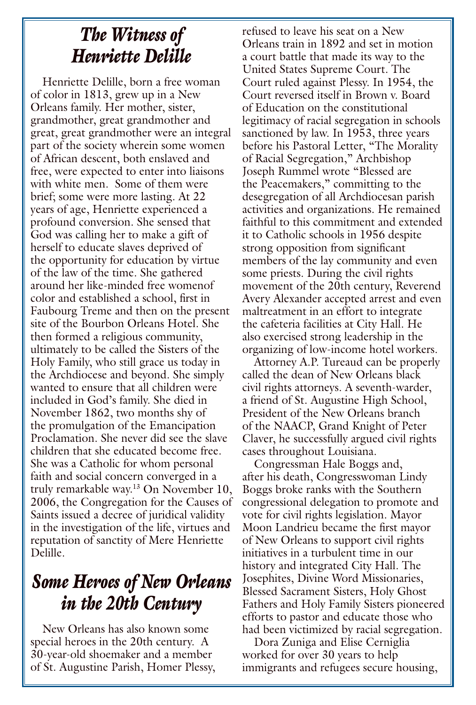## *The Witness of Henriette Delille*

Henriette Delille, born a free woman of color in 1813, grew up in a New Orleans family. Her mother, sister, grandmother, great grandmother and great, great grandmother were an integral part of the society wherein some women of African descent, both enslaved and free, were expected to enter into liaisons with white men. Some of them were brief; some were more lasting. At 22 years of age, Henriette experienced a profound conversion. She sensed that God was calling her to make a gift of herself to educate slaves deprived of the opportunity for education by virtue of the law of the time. She gathered around her like-minded free womenof color and established a school, first in Faubourg Treme and then on the present site of the Bourbon Orleans Hotel. She then formed a religious community, ultimately to be called the Sisters of the Holy Family, who still grace us today in the Archdiocese and beyond. She simply wanted to ensure that all children were included in God's family. She died in November 1862, two months shy of the promulgation of the Emancipation Proclamation. She never did see the slave children that she educated become free. She was a Catholic for whom personal faith and social concern converged in a truly remarkable way.13 On November 10, 2006, the Congregation for the Causes of Saints issued a decree of juridical validity in the investigation of the life, virtues and reputation of sanctity of Mere Henriette Delille.

## *Some Heroes of New Orleans in the 20th Century*

New Orleans has also known some special heroes in the 20th century. A 30-year-old shoemaker and a member of St. Augustine Parish, Homer Plessy, refused to leave his seat on a New Orleans train in 1892 and set in motion a court battle that made its way to the United States Supreme Court. The Court ruled against Plessy. In 1954, the Court reversed itself in Brown v. Board of Education on the constitutional legitimacy of racial segregation in schools sanctioned by law. In 1953, three years before his Pastoral Letter, "The Morality of Racial Segregation," Archbishop Joseph Rummel wrote "Blessed are the Peacemakers," committing to the desegregation of all Archdiocesan parish activities and organizations. He remained faithful to this commitment and extended it to Catholic schools in 1956 despite strong opposition from significant members of the lay community and even some priests. During the civil rights movement of the 20th century, Reverend Avery Alexander accepted arrest and even maltreatment in an effort to integrate the cafeteria facilities at City Hall. He also exercised strong leadership in the organizing of low-income hotel workers.

Attorney A.P. Tureaud can be properly called the dean of New Orleans black civil rights attorneys. A seventh-warder, a friend of St. Augustine High School, President of the New Orleans branch of the NAACP, Grand Knight of Peter Claver, he successfully argued civil rights cases throughout Louisiana.

Congressman Hale Boggs and, after his death, Congresswoman Lindy Boggs broke ranks with the Southern congressional delegation to promote and vote for civil rights legislation. Mayor Moon Landrieu became the first mayor of New Orleans to support civil rights initiatives in a turbulent time in our history and integrated City Hall. The Josephites, Divine Word Missionaries, Blessed Sacrament Sisters, Holy Ghost Fathers and Holy Family Sisters pioneered efforts to pastor and educate those who had been victimized by racial segregation.

Dora Zuniga and Elise Cerniglia worked for over 30 years to help immigrants and refugees secure housing,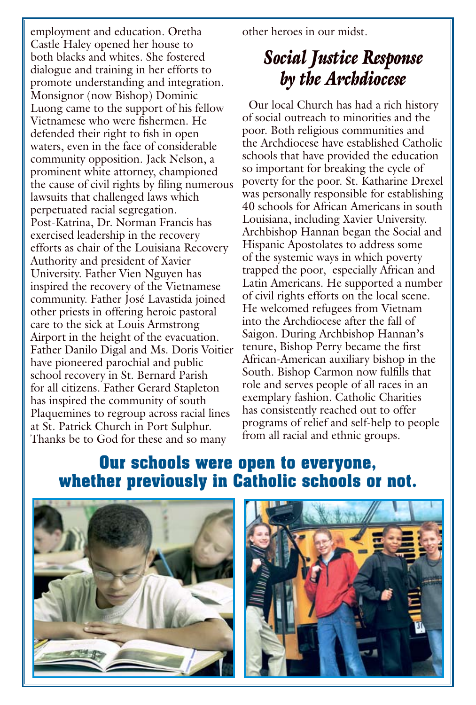employment and education. Oretha Castle Haley opened her house to both blacks and whites. She fostered dialogue and training in her efforts to promote understanding and integration. Monsignor (now Bishop) Dominic Luong came to the support of his fellow Vietnamese who were fishermen. He defended their right to fish in open waters, even in the face of considerable community opposition. Jack Nelson, a prominent white attorney, championed the cause of civil rights by filing numerous lawsuits that challenged laws which perpetuated racial segregation. Post-Katrina, Dr. Norman Francis has exercised leadership in the recovery efforts as chair of the Louisiana Recovery Authority and president of Xavier University. Father Vien Nguyen has inspired the recovery of the Vietnamese community. Father José Lavastida joined other priests in offering heroic pastoral care to the sick at Louis Armstrong Airport in the height of the evacuation. Father Danilo Digal and Ms. Doris Voitier have pioneered parochial and public school recovery in St. Bernard Parish for all citizens. Father Gerard Stapleton has inspired the community of south Plaquemines to regroup across racial lines at St. Patrick Church in Port Sulphur. Thanks be to God for these and so many

other heroes in our midst.

# *Social Justice Response by the Archdiocese*

 Our local Church has had a rich history of social outreach to minorities and the poor. Both religious communities and the Archdiocese have established Catholic schools that have provided the education so important for breaking the cycle of poverty for the poor. St. Katharine Drexel was personally responsible for establishing 40 schools for African Americans in south Louisiana, including Xavier University. Archbishop Hannan began the Social and Hispanic Apostolates to address some of the systemic ways in which poverty trapped the poor, especially African and Latin Americans. He supported a number of civil rights efforts on the local scene. He welcomed refugees from Vietnam into the Archdiocese after the fall of Saigon. During Archbishop Hannan's tenure, Bishop Perry became the first African-American auxiliary bishop in the South. Bishop Carmon now fulfills that role and serves people of all races in an exemplary fashion. Catholic Charities has consistently reached out to offer programs of relief and self-help to people from all racial and ethnic groups.

#### **Our schools were open to everyone, whether previously in Catholic schools or not.**

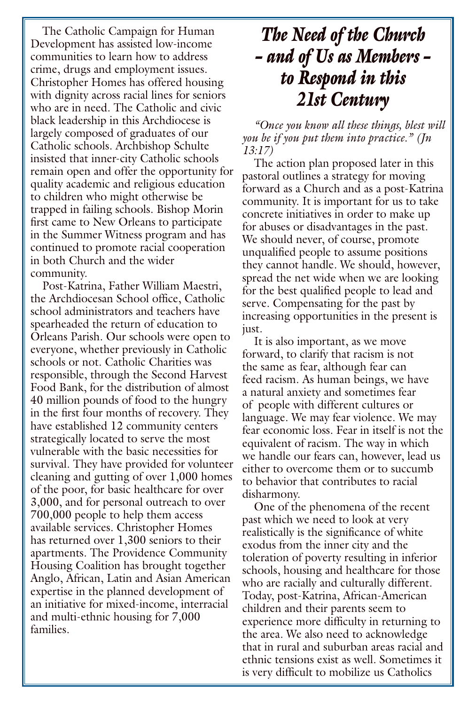The Catholic Campaign for Human Development has assisted low-income communities to learn how to address crime, drugs and employment issues. Christopher Homes has offered housing with dignity across racial lines for seniors who are in need. The Catholic and civic black leadership in this Archdiocese is largely composed of graduates of our Catholic schools. Archbishop Schulte insisted that inner-city Catholic schools remain open and offer the opportunity for quality academic and religious education to children who might otherwise be trapped in failing schools. Bishop Morin first came to New Orleans to participate in the Summer Witness program and has continued to promote racial cooperation in both Church and the wider community.

Post-Katrina, Father William Maestri, the Archdiocesan School office, Catholic school administrators and teachers have spearheaded the return of education to Orleans Parish. Our schools were open to everyone, whether previously in Catholic schools or not. Catholic Charities was responsible, through the Second Harvest Food Bank, for the distribution of almost 40 million pounds of food to the hungry in the first four months of recovery. They have established 12 community centers strategically located to serve the most vulnerable with the basic necessities for survival. They have provided for volunteer cleaning and gutting of over 1,000 homes of the poor, for basic healthcare for over 3,000, and for personal outreach to over 700,000 people to help them access available services. Christopher Homes has returned over 1,300 seniors to their apartments. The Providence Community Housing Coalition has brought together Anglo, African, Latin and Asian American expertise in the planned development of an initiative for mixed-income, interracial and multi-ethnic housing for 7,000 families.

## *The Need of the Church – and of Us as Members – to Respond in this 21st Century*

*"Once you know all these things, blest will you be if you put them into practice." (Jn 13:17)*

The action plan proposed later in this pastoral outlines a strategy for moving forward as a Church and as a post-Katrina community. It is important for us to take concrete initiatives in order to make up for abuses or disadvantages in the past. We should never, of course, promote unqualified people to assume positions they cannot handle. We should, however, spread the net wide when we are looking for the best qualified people to lead and serve. Compensating for the past by increasing opportunities in the present is just.

It is also important, as we move forward, to clarify that racism is not the same as fear, although fear can feed racism. As human beings, we have a natural anxiety and sometimes fear of people with different cultures or language. We may fear violence. We may fear economic loss. Fear in itself is not the equivalent of racism. The way in which we handle our fears can, however, lead us either to overcome them or to succumb to behavior that contributes to racial disharmony.

One of the phenomena of the recent past which we need to look at very realistically is the significance of white exodus from the inner city and the toleration of poverty resulting in inferior schools, housing and healthcare for those who are racially and culturally different. Today, post-Katrina, African-American children and their parents seem to experience more difficulty in returning to the area. We also need to acknowledge that in rural and suburban areas racial and ethnic tensions exist as well. Sometimes it is very difficult to mobilize us Catholics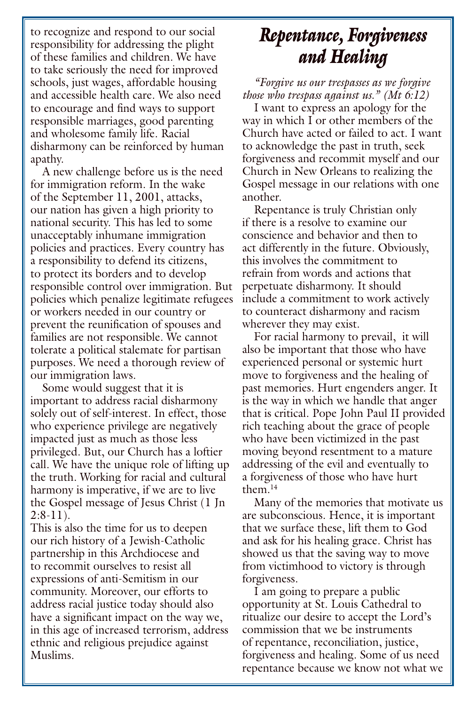to recognize and respond to our social responsibility for addressing the plight of these families and children. We have to take seriously the need for improved schools, just wages, affordable housing and accessible health care. We also need to encourage and find ways to support responsible marriages, good parenting and wholesome family life. Racial disharmony can be reinforced by human apathy.

A new challenge before us is the need for immigration reform. In the wake of the September 11, 2001, attacks, our nation has given a high priority to national security. This has led to some unacceptably inhumane immigration policies and practices. Every country has a responsibility to defend its citizens, to protect its borders and to develop responsible control over immigration. But policies which penalize legitimate refugees or workers needed in our country or prevent the reunification of spouses and families are not responsible. We cannot tolerate a political stalemate for partisan purposes. We need a thorough review of our immigration laws.

Some would suggest that it is important to address racial disharmony solely out of self-interest. In effect, those who experience privilege are negatively impacted just as much as those less privileged. But, our Church has a loftier call. We have the unique role of lifting up the truth. Working for racial and cultural harmony is imperative, if we are to live the Gospel message of Jesus Christ (1 Jn  $2:8-11$ ).

This is also the time for us to deepen our rich history of a Jewish-Catholic partnership in this Archdiocese and to recommit ourselves to resist all expressions of anti-Semitism in our community. Moreover, our efforts to address racial justice today should also have a significant impact on the way we, in this age of increased terrorism, address ethnic and religious prejudice against Muslims.

#### *Repentance, Forgiveness and Healing*

*"Forgive us our trespasses as we forgive those who trespass against us." (Mt 6:12)*

I want to express an apology for the way in which I or other members of the Church have acted or failed to act. I want to acknowledge the past in truth, seek forgiveness and recommit myself and our Church in New Orleans to realizing the Gospel message in our relations with one another.

Repentance is truly Christian only if there is a resolve to examine our conscience and behavior and then to act differently in the future. Obviously, this involves the commitment to refrain from words and actions that perpetuate disharmony. It should include a commitment to work actively to counteract disharmony and racism wherever they may exist.

For racial harmony to prevail, it will also be important that those who have experienced personal or systemic hurt move to forgiveness and the healing of past memories. Hurt engenders anger. It is the way in which we handle that anger that is critical. Pope John Paul II provided rich teaching about the grace of people who have been victimized in the past moving beyond resentment to a mature addressing of the evil and eventually to a forgiveness of those who have hurt them.14

Many of the memories that motivate us are subconscious. Hence, it is important that we surface these, lift them to God and ask for his healing grace. Christ has showed us that the saving way to move from victimhood to victory is through forgiveness.

I am going to prepare a public opportunity at St. Louis Cathedral to ritualize our desire to accept the Lord's commission that we be instruments of repentance, reconciliation, justice, forgiveness and healing. Some of us need repentance because we know not what we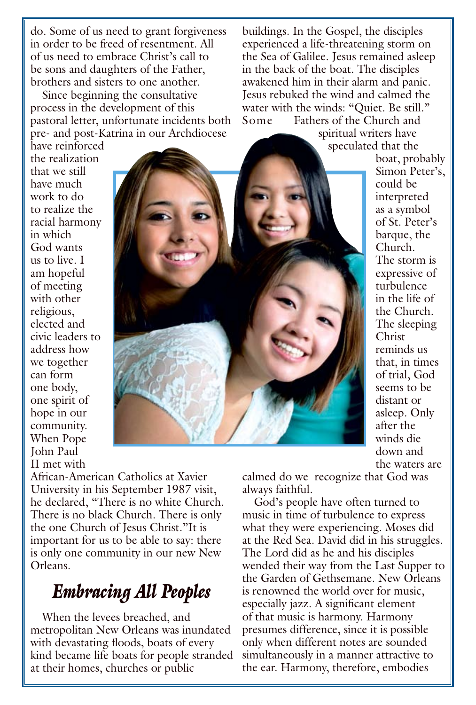do. Some of us need to grant forgiveness in order to be freed of resentment. All of us need to embrace Christ's call to be sons and daughters of the Father, brothers and sisters to one another.

Since beginning the consultative process in the development of this pastoral letter, unfortunate incidents both pre- and post-Katrina in our Archdiocese

buildings. In the Gospel, the disciples experienced a life-threatening storm on the Sea of Galilee. Jesus remained asleep in the back of the boat. The disciples awakened him in their alarm and panic. Jesus rebuked the wind and calmed the water with the winds: "Quiet. Be still." Some Fathers of the Church and

spiritual writers have speculated that the boat, probably

have reinforced the realization that we still have much work to do to realize the racial harmony in which God wants us to live. I am hopeful of meeting with other religious, elected and civic leaders to address how we together can form one body, one spirit of hope in our community. When Pope John Paul II met with



Simon Peter's, could be interpreted as a symbol of St. Peter's barque, the Church. The storm is expressive of turbulence in the life of the Church. The sleeping Christ reminds us that, in times of trial, God seems to be distant or asleep. Only after the winds die down and the waters are

African-American Catholics at Xavier University in his September 1987 visit, he declared, "There is no white Church. There is no black Church. There is only the one Church of Jesus Christ."It is important for us to be able to say: there is only one community in our new New Orleans.

#### *Embracing All Peoples*

When the levees breached, and metropolitan New Orleans was inundated with devastating floods, boats of every kind became life boats for people stranded at their homes, churches or public

calmed do we recognize that God was always faithful.

God's people have often turned to music in time of turbulence to express what they were experiencing. Moses did at the Red Sea. David did in his struggles. The Lord did as he and his disciples wended their way from the Last Supper to the Garden of Gethsemane. New Orleans is renowned the world over for music, especially jazz. A significant element of that music is harmony. Harmony presumes difference, since it is possible only when different notes are sounded simultaneously in a manner attractive to the ear. Harmony, therefore, embodies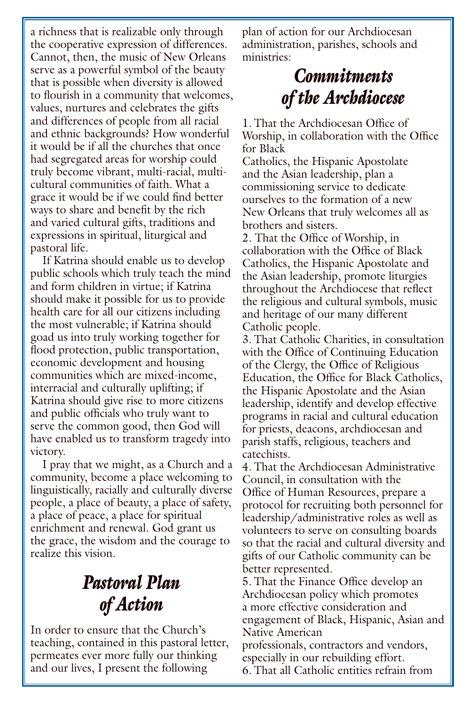a richness that is realizable only through the cooperative expression of differences. Cannot, then, the music of New Orleans serve as a powerful symbol of the beauty that is possible when diversity is allowed to flourish in a community that welcomes, values, nurtures and celebrates the gifts and differences of people from all racial and ethnic backgrounds? How wonderful it would be if all the churches that once had segregated areas for worship could truly become vibrant, multi-racial, multicultural communities of faith. What a grace it would be if we could find better ways to share and benefit by the rich and varied cultural gifts, traditions and expressions in spiritual, liturgical and pastoral life.

If Katrina should enable us to develop public schools which truly teach the mind and form children in virtue; if Katrina should make it possible for us to provide health care for all our citizens including the most vulnerable; if Katrina should goad us into truly working together for flood protection, public transportation, economic development and housing communities which are mixed-income, interracial and culturally uplifting; if Katrina should give rise to more citizens and public officials who truly want to serve the common good, then God will have enabled us to transform tragedy into victory.

I pray that we might, as a Church and a community, become a place welcoming to linguistically, racially and culturally diverse people, a place of beauty, a place of safety, a place of peace, a place for spiritual enrichment and renewal. God grant us the grace, the wisdom and the courage to realize this vision.

# *Pastoral Plan of Action*

In order to ensure that the Church's teaching, contained in this pastoral letter, permeates ever more fully our thinking and our lives, I present the following

plan of action for our Archdiocesan administration, parishes, schools and ministries:

## *Commitments of the Archdiocese*

1. That the Archdiocesan Office of Worship, in collaboration with the Office for Black

Catholics, the Hispanic Apostolate and the Asian leadership, plan a commissioning service to dedicate ourselves to the formation of a new New Orleans that truly welcomes all as brothers and sisters.

2. That the Office of Worship, in collaboration with the Office of Black Catholics, the Hispanic Apostolate and the Asian leadership, promote liturgies throughout the Archdiocese that reflect the religious and cultural symbols, music and heritage of our many different Catholic people.

3. That Catholic Charities, in consultation with the Office of Continuing Education of the Clergy, the Office of Religious Education, the Office for Black Catholics, the Hispanic Apostolate and the Asian leadership, identify and develop effective programs in racial and cultural education for priests, deacons, archdiocesan and parish staffs, religious, teachers and catechists.

4. That the Archdiocesan Administrative Council, in consultation with the Office of Human Resources, prepare a protocol for recruiting both personnel for leadership/administrative roles as well as volunteers to serve on consulting boards so that the racial and cultural diversity and gifts of our Catholic community can be better represented.

5. That the Finance Office develop an Archdiocesan policy which promotes a more effective consideration and engagement of Black, Hispanic, Asian and Native American

professionals, contractors and vendors, especially in our rebuilding effort. 6. That all Catholic entities refrain from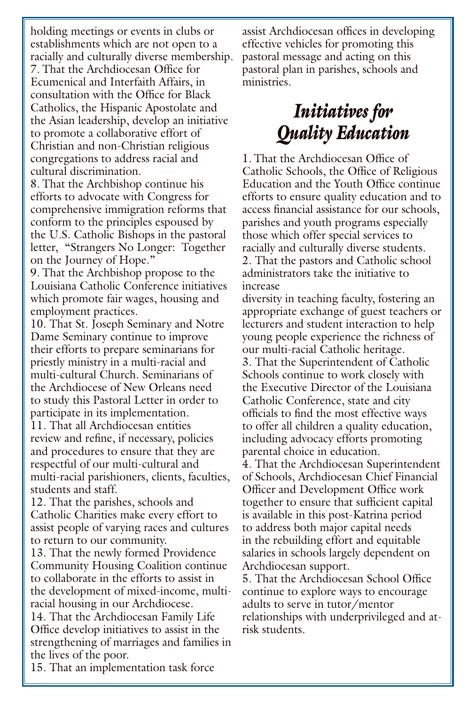holding meetings or events in clubs or establishments which are not open to a racially and culturally diverse membership. 7. That the Archdiocesan Office for Ecumenical and Interfaith Affairs, in consultation with the Office for Black Catholics, the Hispanic Apostolate and the Asian leadership, develop an initiative to promote a collaborative effort of Christian and non-Christian religious congregations to address racial and cultural discrimination.

8. That the Archbishop continue his efforts to advocate with Congress for comprehensive immigration reforms that conform to the principles espoused by the U.S. Catholic Bishops in the pastoral letter, "Strangers No Longer: Together on the Journey of Hope."

9. That the Archbishop propose to the Louisiana Catholic Conference initiatives which promote fair wages, housing and employment practices.

10. That St. Joseph Seminary and Notre Dame Seminary continue to improve their efforts to prepare seminarians for priestly ministry in a multi-racial and multi-cultural Church. Seminarians of the Archdiocese of New Orleans need to study this Pastoral Letter in order to participate in its implementation.

11. That all Archdiocesan entities review and refine, if necessary, policies and procedures to ensure that they are respectful of our multi-cultural and multi-racial parishioners, clients, faculties, students and staff.

12. That the parishes, schools and Catholic Charities make every effort to assist people of varying races and cultures to return to our community.

13. That the newly formed Providence Community Housing Coalition continue to collaborate in the efforts to assist in the development of mixed-income, multiracial housing in our Archdiocese.

14. That the Archdiocesan Family Life Office develop initiatives to assist in the strengthening of marriages and families in the lives of the poor.

assist Archdiocesan offices in developing effective vehicles for promoting this pastoral message and acting on this pastoral plan in parishes, schools and ministries.

# *Initiatives for Quality Education*

1. That the Archdiocesan Office of Catholic Schools, the Office of Religious Education and the Youth Office continue efforts to ensure quality education and to access financial assistance for our schools, parishes and youth programs especially those which offer special services to racially and culturally diverse students. 2. That the pastors and Catholic school administrators take the initiative to increase

diversity in teaching faculty, fostering an appropriate exchange of guest teachers or lecturers and student interaction to help young people experience the richness of our multi-racial Catholic heritage. 3. That the Superintendent of Catholic Schools continue to work closely with the Executive Director of the Louisiana Catholic Conference, state and city officials to find the most effective ways to offer all children a quality education, including advocacy efforts promoting parental choice in education. 4. That the Archdiocesan Superintendent of Schools, Archdiocesan Chief Financial Officer and Development Office work together to ensure that sufficient capital is available in this post-Katrina period to address both major capital needs in the rebuilding effort and equitable salaries in schools largely dependent on Archdiocesan support. 5. That the Archdiocesan School Office

continue to explore ways to encourage adults to serve in tutor/mentor relationships with underprivileged and atrisk students.

15. That an implementation task force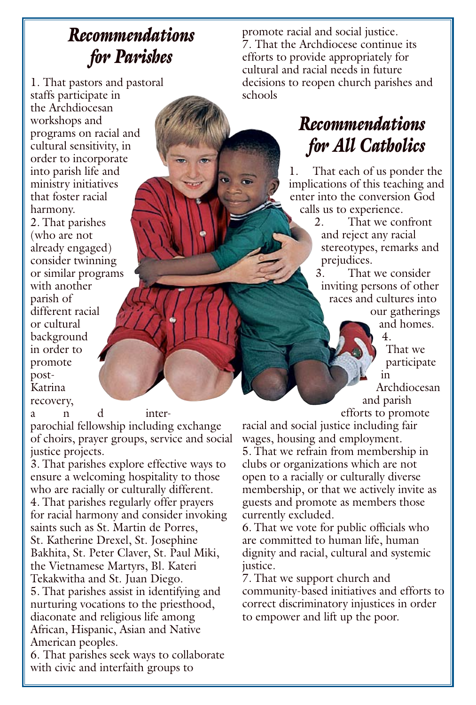#### *Recommendations for Parishes*

1. That pastors and pastoral staffs participate in the Archdiocesan workshops and programs on racial and cultural sensitivity, in order to incorporate into parish life and ministry initiatives that foster racial harmony. 2. That parishes (who are not already engaged) consider twinning or similar programs with another parish of different racial or cultural background in order to promote post-Katrina recovery,

a n d inter-

parochial fellowship including exchange of choirs, prayer groups, service and social justice projects.

3. That parishes explore effective ways to ensure a welcoming hospitality to those who are racially or culturally different. 4. That parishes regularly offer prayers for racial harmony and consider invoking saints such as St. Martin de Porres, St. Katherine Drexel, St. Josephine Bakhita, St. Peter Claver, St. Paul Miki, the Vietnamese Martyrs, Bl. Kateri Tekakwitha and St. Juan Diego. 5. That parishes assist in identifying and nurturing vocations to the priesthood, diaconate and religious life among African, Hispanic, Asian and Native American peoples.

6. That parishes seek ways to collaborate with civic and interfaith groups to

promote racial and social justice. 7. That the Archdiocese continue its efforts to provide appropriately for cultural and racial needs in future decisions to reopen church parishes and schools

# *Recommendations for All Catholics*

1. That each of us ponder the implications of this teaching and enter into the conversion God calls us to experience.

2. That we confront and reject any racial stereotypes, remarks and prejudices.

3. That we consider inviting persons of other races and cultures into our gatherings

and homes. 4.

That we participate in Archdiocesan and parish

efforts to promote

racial and social justice including fair wages, housing and employment. 5. That we refrain from membership in clubs or organizations which are not open to a racially or culturally diverse membership, or that we actively invite as guests and promote as members those currently excluded.

6. That we vote for public officials who are committed to human life, human dignity and racial, cultural and systemic justice.

7. That we support church and community-based initiatives and efforts to correct discriminatory injustices in order to empower and lift up the poor.